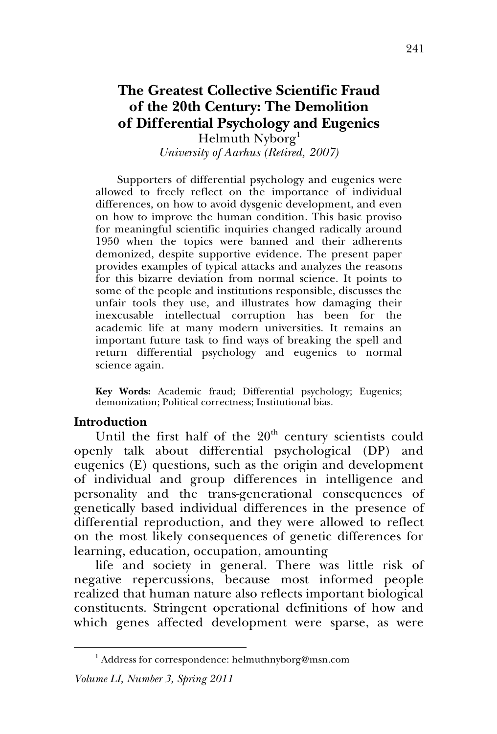# **The Greatest Collective Scientific Fraud of the 20th Century: The Demolition of Differential Psychology and Eugenics**

Helmuth Nyborg<sup>1</sup> *University of Aarhus (Retired, 2007)*

Supporters of differential psychology and eugenics were allowed to freely reflect on the importance of individual differences, on how to avoid dysgenic development, and even on how to improve the human condition. This basic proviso for meaningful scientific inquiries changed radically around 1950 when the topics were banned and their adherents demonized, despite supportive evidence. The present paper provides examples of typical attacks and analyzes the reasons for this bizarre deviation from normal science. It points to some of the people and institutions responsible, discusses the unfair tools they use, and illustrates how damaging their inexcusable intellectual corruption has been for the academic life at many modern universities. It remains an important future task to find ways of breaking the spell and return differential psychology and eugenics to normal science again.

**Key Words:** Academic fraud; Differential psychology; Eugenics; demonization; Political correctness; Institutional bias.

## **Introduction**

Until the first half of the  $20<sup>th</sup>$  century scientists could openly talk about differential psychological (DP) and eugenics (E) questions, such as the origin and development of individual and group differences in intelligence and personality and the trans-generational consequences of genetically based individual differences in the presence of differential reproduction, and they were allowed to reflect on the most likely consequences of genetic differences for learning, education, occupation, amounting

life and society in general. There was little risk of negative repercussions, because most informed people realized that human nature also reflects important biological constituents. Stringent operational definitions of how and which genes affected development were sparse, as were

<sup>1</sup> Address for correspondence: helmuthnyborg@msn.com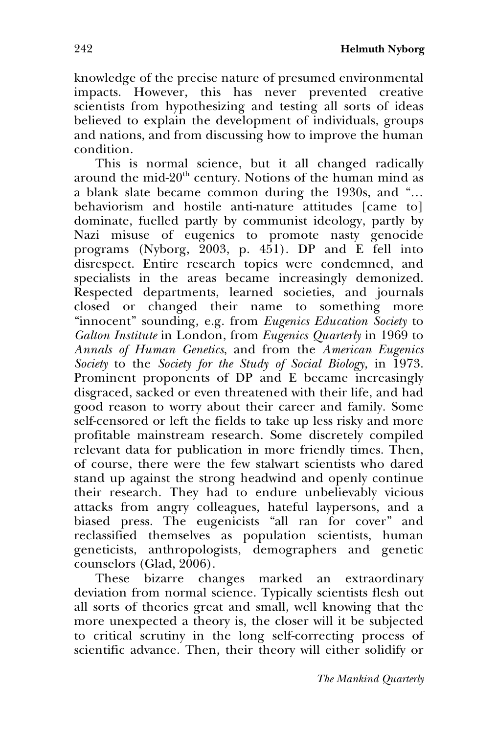knowledge of the precise nature of presumed environmental impacts. However, this has never prevented creative scientists from hypothesizing and testing all sorts of ideas believed to explain the development of individuals, groups and nations, and from discussing how to improve the human condition.

This is normal science, but it all changed radically around the mid- $20<sup>th</sup>$  century. Notions of the human mind as a blank slate became common during the 1930s, and "… behaviorism and hostile anti-nature attitudes [came to] dominate, fuelled partly by communist ideology, partly by Nazi misuse of eugenics to promote nasty genocide programs (Nyborg, 2003, p. 451). DP and E fell into disrespect. Entire research topics were condemned, and specialists in the areas became increasingly demonized. Respected departments, learned societies, and journals closed or changed their name to something more "innocent" sounding, e.g. from *Eugenics Education Society* to *Galton Institute* in London, from *Eugenics Quarterly* in 1969 to *Annals of Human Genetics*, and from the *American Eugenics Society* to the *Society for the Study of Social Biology,* in 1973. Prominent proponents of DP and E became increasingly disgraced, sacked or even threatened with their life, and had good reason to worry about their career and family. Some self-censored or left the fields to take up less risky and more profitable mainstream research. Some discretely compiled relevant data for publication in more friendly times. Then, of course, there were the few stalwart scientists who dared stand up against the strong headwind and openly continue their research. They had to endure unbelievably vicious attacks from angry colleagues, hateful laypersons, and a biased press. The eugenicists "all ran for cover" and reclassified themselves as population scientists, human geneticists, anthropologists, demographers and genetic  $\overline{\text{c} \text{ounds}}$  (Glad, 2006).

These bizarre changes marked an extraordinary deviation from normal science. Typically scientists flesh out all sorts of theories great and small, well knowing that the more unexpected a theory is, the closer will it be subjected to critical scrutiny in the long self-correcting process of scientific advance. Then, their theory will either solidify or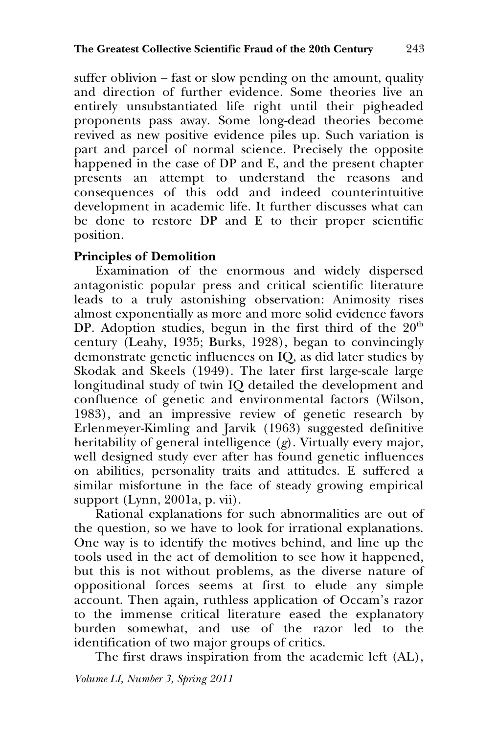suffer oblivion – fast or slow pending on the amount, quality and direction of further evidence. Some theories live an entirely unsubstantiated life right until their pigheaded proponents pass away. Some long-dead theories become revived as new positive evidence piles up. Such variation is part and parcel of normal science. Precisely the opposite happened in the case of DP and E, and the present chapter presents an attempt to understand the reasons and consequences of this odd and indeed counterintuitive development in academic life. It further discusses what can be done to restore DP and E to their proper scientific position.

## **Principles of Demolition**

Examination of the enormous and widely dispersed antagonistic popular press and critical scientific literature leads to a truly astonishing observation: Animosity rises almost exponentially as more and more solid evidence favors DP. Adoption studies, begun in the first third of the  $20<sup>th</sup>$ century (Leahy, 1935; Burks, 1928), began to convincingly demonstrate genetic influences on IQ, as did later studies by Skodak and Skeels (1949). The later first large-scale large longitudinal study of twin IQ detailed the development and confluence of genetic and environmental factors (Wilson, 1983), and an impressive review of genetic research by Erlenmeyer-Kimling and Jarvik (1963) suggested definitive heritability of general intelligence (*g*). Virtually every major, well designed study ever after has found genetic influences on abilities, personality traits and attitudes. E suffered a similar misfortune in the face of steady growing empirical support (Lynn, 2001a, p. vii).

Rational explanations for such abnormalities are out of the question, so we have to look for irrational explanations. One way is to identify the motives behind, and line up the tools used in the act of demolition to see how it happened, but this is not without problems, as the diverse nature of oppositional forces seems at first to elude any simple account. Then again, ruthless application of Occam's razor to the immense critical literature eased the explanatory burden somewhat, and use of the razor led to the identification of two major groups of critics.

The first draws inspiration from the academic left (AL),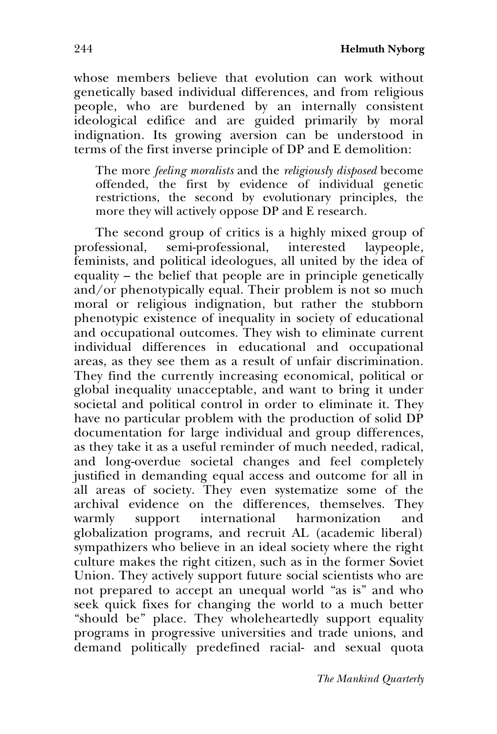whose members believe that evolution can work without genetically based individual differences, and from religious people, who are burdened by an internally consistent ideological edifice and are guided primarily by moral indignation. Its growing aversion can be understood in terms of the first inverse principle of DP and E demolition:

The more *feeling moralists* and the *religiously disposed* become offended, the first by evidence of individual genetic restrictions, the second by evolutionary principles, the more they will actively oppose DP and E research.

The second group of critics is a highly mixed group of professional, semi-professional, interested laypeople, feminists, and political ideologues, all united by the idea of equality – the belief that people are in principle genetically and/or phenotypically equal. Their problem is not so much moral or religious indignation, but rather the stubborn phenotypic existence of inequality in society of educational and occupational outcomes. They wish to eliminate current individual differences in educational and occupational areas, as they see them as a result of unfair discrimination. They find the currently increasing economical, political or global inequality unacceptable, and want to bring it under societal and political control in order to eliminate it. They have no particular problem with the production of solid DP documentation for large individual and group differences, as they take it as a useful reminder of much needed, radical, and long-overdue societal changes and feel completely justified in demanding equal access and outcome for all in all areas of society. They even systematize some of the archival evidence on the differences, themselves. They warmly support international harmonization and globalization programs, and recruit AL (academic liberal) sympathizers who believe in an ideal society where the right culture makes the right citizen, such as in the former Soviet Union. They actively support future social scientists who are not prepared to accept an unequal world "as is" and who seek quick fixes for changing the world to a much better "should be" place. They wholeheartedly support equality programs in progressive universities and trade unions, and demand politically predefined racial- and sexual quota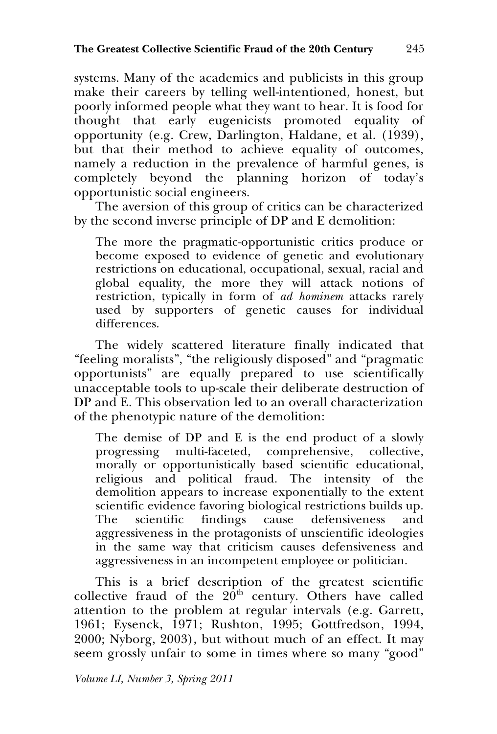systems. Many of the academics and publicists in this group make their careers by telling well-intentioned, honest, but poorly informed people what they want to hear. It is food for thought that early eugenicists promoted equality of opportunity (e.g. Crew, Darlington, Haldane, et al. (1939), but that their method to achieve equality of outcomes, namely a reduction in the prevalence of harmful genes, is completely beyond the planning horizon of today's opportunistic social engineers.

The aversion of this group of critics can be characterized by the second inverse principle of DP and E demolition:

The more the pragmatic-opportunistic critics produce or become exposed to evidence of genetic and evolutionary restrictions on educational, occupational, sexual, racial and global equality, the more they will attack notions of restriction, typically in form of *ad hominem* attacks rarely used by supporters of genetic causes for individual differences.

The widely scattered literature finally indicated that "feeling moralists", "the religiously disposed" and "pragmatic opportunists" are equally prepared to use scientifically unacceptable tools to up-scale their deliberate destruction of DP and E. This observation led to an overall characterization of the phenotypic nature of the demolition:

The demise of DP and E is the end product of a slowly progressing multi-faceted, comprehensive, collective, morally or opportunistically based scientific educational, religious and political fraud. The intensity of the demolition appears to increase exponentially to the extent scientific evidence favoring biological restrictions builds up. The scientific findings cause defensiveness and aggressiveness in the protagonists of unscientific ideologies in the same way that criticism causes defensiveness and aggressiveness in an incompetent employee or politician.

This is a brief description of the greatest scientific collective fraud of the  $20<sup>th</sup>$  century. Others have called attention to the problem at regular intervals (e.g. Garrett, 1961; Eysenck, 1971; Rushton, 1995; Gottfredson, 1994, 2000; Nyborg, 2003), but without much of an effect. It may seem grossly unfair to some in times where so many "good"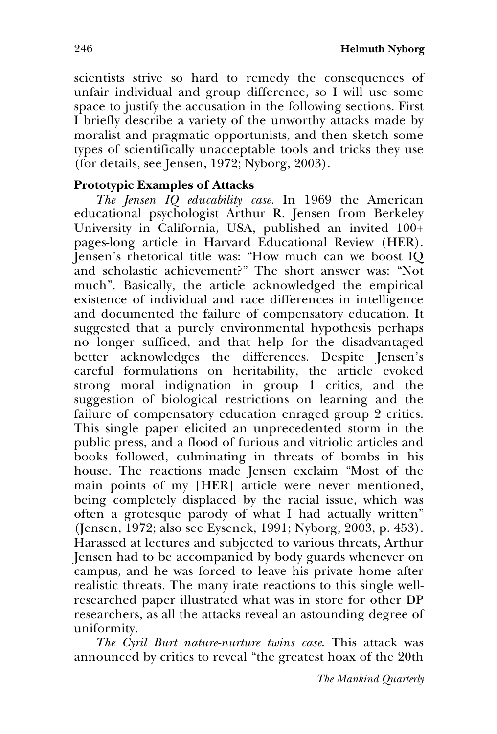scientists strive so hard to remedy the consequences of unfair individual and group difference, so I will use some space to justify the accusation in the following sections. First I briefly describe a variety of the unworthy attacks made by moralist and pragmatic opportunists, and then sketch some types of scientifically unacceptable tools and tricks they use (for details, see Jensen, 1972; Nyborg, 2003).

## **Prototypic Examples of Attacks**

*The Jensen IQ educability case.* In 1969 the American educational psychologist Arthur R. Jensen from Berkeley University in California, USA, published an invited 100+ pages-long article in Harvard Educational Review (HER). Jensen's rhetorical title was: "How much can we boost IQ and scholastic achievement?" The short answer was: "Not much". Basically, the article acknowledged the empirical existence of individual and race differences in intelligence and documented the failure of compensatory education. It suggested that a purely environmental hypothesis perhaps no longer sufficed, and that help for the disadvantaged better acknowledges the differences. Despite Jensen's careful formulations on heritability, the article evoked strong moral indignation in group 1 critics, and the suggestion of biological restrictions on learning and the failure of compensatory education enraged group 2 critics. This single paper elicited an unprecedented storm in the public press, and a flood of furious and vitriolic articles and books followed, culminating in threats of bombs in his house. The reactions made Jensen exclaim "Most of the main points of my [HER] article were never mentioned, being completely displaced by the racial issue, which was often a grotesque parody of what I had actually written" (Jensen, 1972; also see Eysenck, 1991; Nyborg, 2003, p. 453). Harassed at lectures and subjected to various threats, Arthur Jensen had to be accompanied by body guards whenever on campus, and he was forced to leave his private home after realistic threats. The many irate reactions to this single wellresearched paper illustrated what was in store for other DP researchers, as all the attacks reveal an astounding degree of uniformity.

*The Cyril Burt nature-nurture twins case*. This attack was announced by critics to reveal "the greatest hoax of the 20th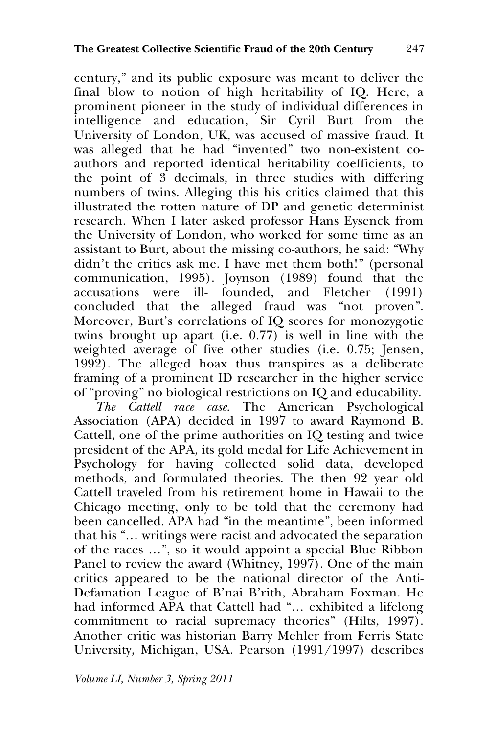century," and its public exposure was meant to deliver the final blow to notion of high heritability of IQ. Here, a prominent pioneer in the study of individual differences in intelligence and education, Sir Cyril Burt from the University of London, UK, was accused of massive fraud. It was alleged that he had "invented" two non-existent coauthors and reported identical heritability coefficients, to the point of  $\overline{3}$  decimals, in three studies with differing numbers of twins. Alleging this his critics claimed that this illustrated the rotten nature of DP and genetic determinist research. When I later asked professor Hans Eysenck from the University of London, who worked for some time as an assistant to Burt, about the missing co-authors, he said: "Why didn't the critics ask me. I have met them both!" (personal communication, 1995). Joynson (1989) found that the accusations were ill- founded, and Fletcher (1991) concluded that the alleged fraud was "not proven". Moreover, Burt's correlations of IQ scores for monozygotic twins brought up apart (i.e.  $0.77$ ) is well in line with the weighted average of five other studies (i.e. 0.75; Jensen, 1992). The alleged hoax thus transpires as a deliberate framing of a prominent ID researcher in the higher service of "proving" no biological restrictions on IQ and educability.

*The Cattell race case.* The American Psychological Association (APA) decided in 1997 to award Raymond B. Cattell, one of the prime authorities on IQ testing and twice president of the APA, its gold medal for Life Achievement in Psychology for having collected solid data, developed methods, and formulated theories. The then 92 year old Cattell traveled from his retirement home in Hawaii to the Chicago meeting, only to be told that the ceremony had been cancelled. APA had "in the meantime", been informed that his "… writings were racist and advocated the separation of the races …", so it would appoint a special Blue Ribbon Panel to review the award (Whitney, 1997). One of the main critics appeared to be the national director of the Anti-Defamation League of B'nai B'rith, Abraham Foxman. He had informed APA that Cattell had "… exhibited a lifelong commitment to racial supremacy theories" (Hilts, 1997). Another critic was historian Barry Mehler from Ferris State University, Michigan, USA. Pearson (1991/1997) describes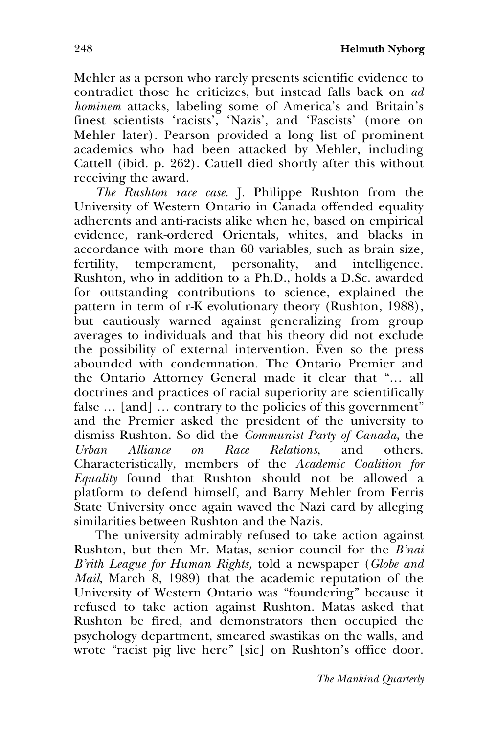Mehler as a person who rarely presents scientific evidence to contradict those he criticizes, but instead falls back on *ad hominem* attacks, labeling some of America's and Britain's finest scientists 'racists', 'Nazis', and 'Fascists' (more on Mehler later). Pearson provided a long list of prominent academics who had been attacked by Mehler, including Cattell (ibid. p. 262). Cattell died shortly after this without receiving the award.

*The Rushton race case.* J. Philippe Rushton from the University of Western Ontario in Canada offended equality adherents and anti-racists alike when he, based on empirical evidence, rank-ordered Orientals, whites, and blacks in accordance with more than 60 variables, such as brain size, fertility, temperament, personality, and intelligence. Rushton, who in addition to a Ph.D., holds a D.Sc. awarded for outstanding contributions to science, explained the pattern in term of r-K evolutionary theory (Rushton, 1988), but cautiously warned against generalizing from group averages to individuals and that his theory did not exclude the possibility of external intervention. Even so the press abounded with condemnation. The Ontario Premier and the Ontario Attorney General made it clear that "… all doctrines and practices of racial superiority are scientifically false  $\ldots$  [and]  $\ldots$  contrary to the policies of this government" and the Premier asked the president of the university to dismiss Rushton. So did the *Communist Party of Canada*, the *Urban Alliance on Race Relations*, and others. Characteristically, members of the *Academic Coalition for Equality* found that Rushton should not be allowed a platform to defend himself, and Barry Mehler from Ferris State University once again waved the Nazi card by alleging similarities between Rushton and the Nazis.

The university admirably refused to take action against Rushton, but then Mr. Matas, senior council for the *B'nai B'rith League for Human Rights,* told a newspaper (*Globe and Mail*, March 8, 1989) that the academic reputation of the University of Western Ontario was "foundering" because it refused to take action against Rushton. Matas asked that Rushton be fired, and demonstrators then occupied the psychology department, smeared swastikas on the walls, and wrote "racist pig live here" [sic] on Rushton's office door.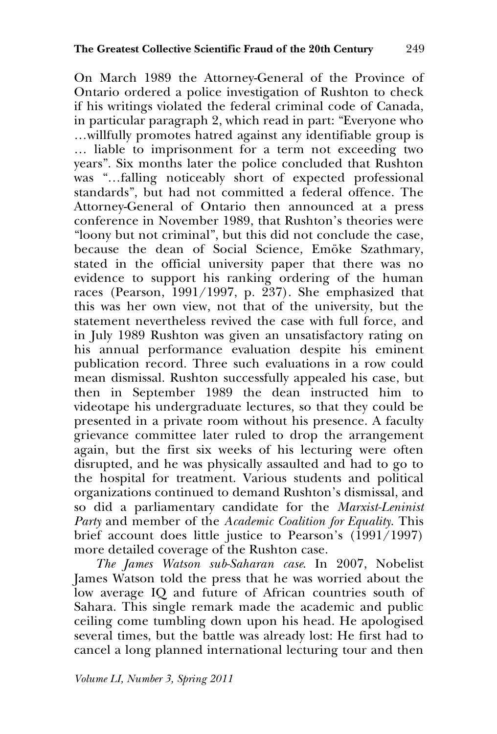On March 1989 the Attorney-General of the Province of Ontario ordered a police investigation of Rushton to check if his writings violated the federal criminal code of Canada, in particular paragraph 2, which read in part: "Everyone who …willfully promotes hatred against any identifiable group is … liable to imprisonment for a term not exceeding two years". Six months later the police concluded that Rushton was "…falling noticeably short of expected professional standards", but had not committed a federal offence. The Attorney-General of Ontario then announced at a press conference in November 1989, that Rushton's theories were "loony but not criminal", but this did not conclude the case, because the dean of Social Science, Emöke Szathmary, stated in the official university paper that there was no evidence to support his ranking ordering of the human races (Pearson, 1991/1997, p. 237). She emphasized that this was her own view, not that of the university, but the statement nevertheless revived the case with full force, and in July 1989 Rushton was given an unsatisfactory rating on his annual performance evaluation despite his eminent publication record. Three such evaluations in a row could mean dismissal. Rushton successfully appealed his case, but then in September 1989 the dean instructed him to videotape his undergraduate lectures, so that they could be presented in a private room without his presence. A faculty grievance committee later ruled to drop the arrangement again, but the first six weeks of his lecturing were often disrupted, and he was physically assaulted and had to go to the hospital for treatment. Various students and political organizations continued to demand Rushton's dismissal, and so did a parliamentary candidate for the *Marxist-Leninist Party* and member of the *Academic Coalition for Equality*. This brief account does little justice to Pearson's (1991/1997) more detailed coverage of the Rushton case.

*The James Watson sub-Saharan case*. In 2007, Nobelist James Watson told the press that he was worried about the low average IQ and future of African countries south of Sahara. This single remark made the academic and public ceiling come tumbling down upon his head. He apologised several times, but the battle was already lost: He first had to cancel a long planned international lecturing tour and then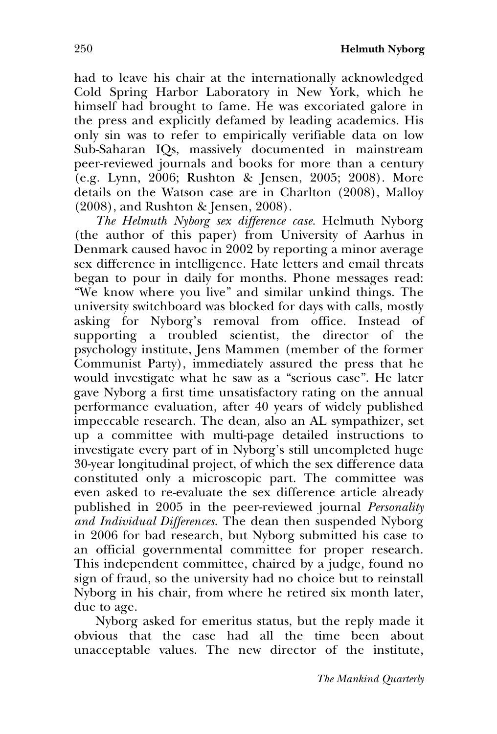had to leave his chair at the internationally acknowledged Cold Spring Harbor Laboratory in New York, which he himself had brought to fame. He was excoriated galore in the press and explicitly defamed by leading academics. His only sin was to refer to empirically verifiable data on low Sub-Saharan IQs, massively documented in mainstream peer-reviewed journals and books for more than a century  $(e.g. Lynn, 2006; Rushton & Jensen, 2005; 2008)$ . More details on the Watson case are in Charlton (2008), Malloy (2008), and Rushton & Jensen, 2008).

*The Helmuth Nyborg sex difference case.* Helmuth Nyborg (the author of this paper) from University of Aarhus in Denmark caused havoc in 2002 by reporting a minor average sex difference in intelligence. Hate letters and email threats began to pour in daily for months. Phone messages read: "We know where you live" and similar unkind things. The university switchboard was blocked for days with calls, mostly asking for Nyborg's removal from office. Instead of supporting a troubled scientist, the director of the psychology institute, Jens Mammen (member of the former Communist Party), immediately assured the press that he would investigate what he saw as a "serious case". He later gave Nyborg a first time unsatisfactory rating on the annual performance evaluation, after 40 years of widely published impeccable research. The dean, also an AL sympathizer, set up a committee with multi-page detailed instructions to investigate every part of in Nyborg's still uncompleted huge 30-year longitudinal project, of which the sex difference data constituted only a microscopic part. The committee was even asked to re-evaluate the sex difference article already published in 2005 in the peer-reviewed journal *Personality and Individual Differences*. The dean then suspended Nyborg in 2006 for bad research, but Nyborg submitted his case to an official governmental committee for proper research. This independent committee, chaired by a judge, found no sign of fraud, so the university had no choice but to reinstall Nyborg in his chair, from where he retired six month later, due to age.

Nyborg asked for emeritus status, but the reply made it obvious that the case had all the time been about unacceptable values. The new director of the institute,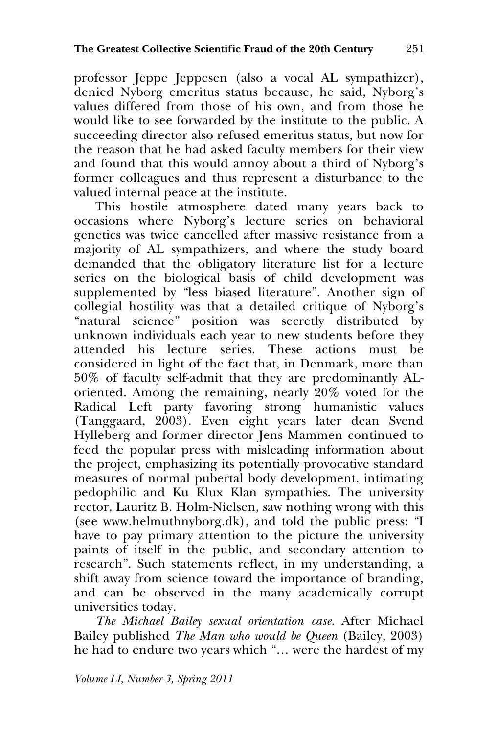professor Jeppe Jeppesen (also a vocal AL sympathizer), denied Nyborg emeritus status because, he said, Nyborg's values differed from those of his own, and from those he would like to see forwarded by the institute to the public. A succeeding director also refused emeritus status, but now for the reason that he had asked faculty members for their view and found that this would annoy about a third of Nyborg's former colleagues and thus represent a disturbance to the valued internal peace at the institute.

This hostile atmosphere dated many years back to occasions where Nyborg's lecture series on behavioral genetics was twice cancelled after massive resistance from a majority of AL sympathizers, and where the study board demanded that the obligatory literature list for a lecture series on the biological basis of child development was supplemented by "less biased literature". Another sign of collegial hostility was that a detailed critique of Nyborg's "natural science" position was secretly distributed by unknown individuals each year to new students before they attended his lecture series. These actions must be considered in light of the fact that, in Denmark, more than 50% of faculty self-admit that they are predominantly ALoriented. Among the remaining, nearly 20% voted for the Radical Left party favoring strong humanistic values (Tanggaard, 2003). Even eight years later dean Svend Hylleberg and former director Jens Mammen continued to feed the popular press with misleading information about the project, emphasizing its potentially provocative standard measures of normal pubertal body development, intimating pedophilic and Ku Klux Klan sympathies. The university rector, Lauritz B. Holm-Nielsen, saw nothing wrong with this (see www.helmuthnyborg.dk), and told the public press: "I have to pay primary attention to the picture the university paints of itself in the public, and secondary attention to research". Such statements reflect, in my understanding, a shift away from science toward the importance of branding, and can be observed in the many academically corrupt universities today.

*The Michael Bailey sexual orientation case.* After Michael Bailey published *The Man who would be Queen* (Bailey, 2003) he had to endure two years which "… were the hardest of my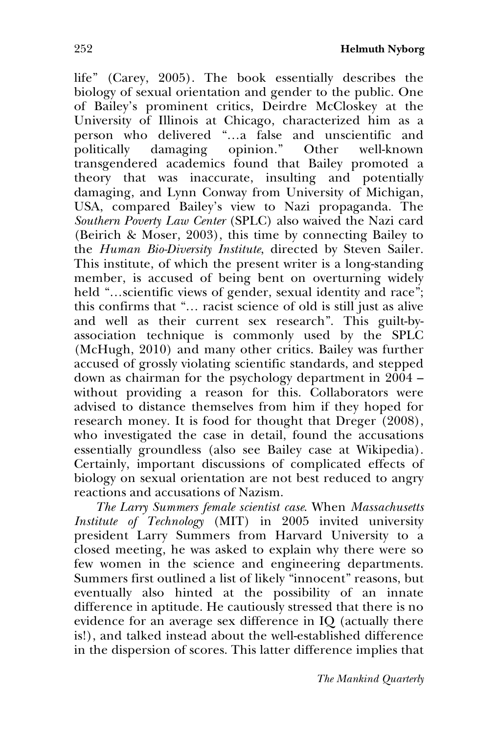life" (Carey, 2005). The book essentially describes the biology of sexual orientation and gender to the public. One of Bailey's prominent critics, Deirdre McCloskey at the University of Illinois at Chicago, characterized him as a person who delivered "…a false and unscientific and politically damaging opinion." Other well-known transgendered academics found that Bailey promoted a theory that was inaccurate, insulting and potentially damaging, and Lynn Conway from University of Michigan, USA, compared Bailey's view to Nazi propaganda. The *Southern Poverty Law Center* (SPLC) also waived the Nazi card (Beirich & Moser, 2003), this time by connecting Bailey to the *Human Bio-Diversity Institute*, directed by Steven Sailer. This institute, of which the present writer is a long-standing member, is accused of being bent on overturning widely held "...scientific views of gender, sexual identity and race"; this confirms that "… racist science of old is still just as alive and well as their current sex research". This guilt-byassociation technique is commonly used by the SPLC (McHugh, 2010) and many other critics. Bailey was further accused of grossly violating scientific standards, and stepped down as chairman for the psychology department in  $2004$ without providing a reason for this. Collaborators were advised to distance themselves from him if they hoped for research money. It is food for thought that Dreger (2008), who investigated the case in detail, found the accusations essentially groundless (also see Bailey case at Wikipedia). Certainly, important discussions of complicated effects of biology on sexual orientation are not best reduced to angry reactions and accusations of Nazism.

*The Larry Summers female scientist case*. When *Massachusetts Institute of Technology* (MIT) in 2005 invited university president Larry Summers from Harvard University to a closed meeting, he was asked to explain why there were so few women in the science and engineering departments. Summers first outlined a list of likely "innocent" reasons, but eventually also hinted at the possibility of an innate difference in aptitude. He cautiously stressed that there is no evidence for an average sex difference in IQ (actually there is!), and talked instead about the well-established difference in the dispersion of scores. This latter difference implies that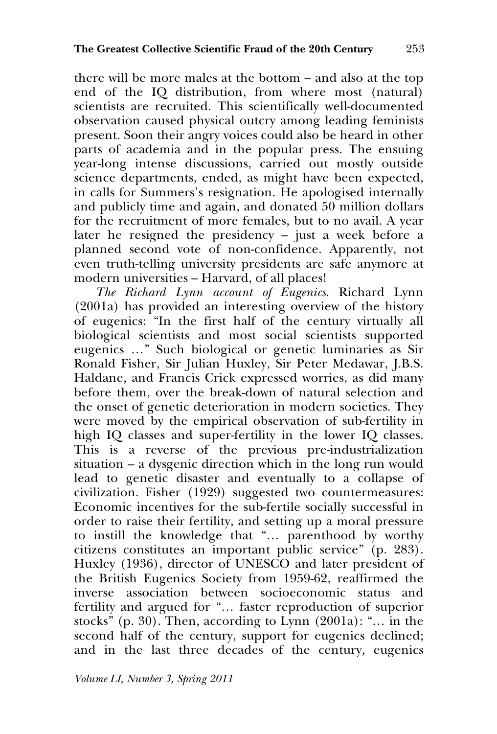there will be more males at the bottom – and also at the top end of the IQ distribution, from where most (natural) scientists are recruited. This scientifically well-documented observation caused physical outcry among leading feminists present. Soon their angry voices could also be heard in other parts of academia and in the popular press. The ensuing year-long intense discussions, carried out mostly outside science departments, ended, as might have been expected, in calls for Summers's resignation. He apologised internally and publicly time and again, and donated 50 million dollars for the recruitment of more females, but to no avail. A year later he resigned the presidency – just a week before a planned second vote of non-confidence. Apparently, not even truth-telling university presidents are safe anymore at modern universities – Harvard, of all places!

*The Richard Lynn account of Eugenics*. Richard Lynn (2001a) has provided an interesting overview of the history of eugenics: "In the first half of the century virtually all biological scientists and most social scientists supported eugenics …" Such biological or genetic luminaries as Sir Ronald Fisher, Sir Julian Huxley, Sir Peter Medawar, J.B.S. Haldane, and Francis Crick expressed worries, as did many before them, over the break-down of natural selection and the onset of genetic deterioration in modern societies. They were moved by the empirical observation of sub-fertility in high IQ classes and super-fertility in the lower IQ classes. This is a reverse of the previous pre-industrialization situation – a dysgenic direction which in the long run would lead to genetic disaster and eventually to a collapse of civilization. Fisher (1929) suggested two countermeasures: Economic incentives for the sub-fertile socially successful in order to raise their fertility, and setting up a moral pressure to instill the knowledge that "… parenthood by worthy citizens constitutes an important public service" (p. 283). Huxley (1936), director of UNESCO and later president of the British Eugenics Society from 1959-62, reaffirmed the inverse association between socioeconomic status and fertility and argued for "… faster reproduction of superior stocks" (p. 30). Then, according to Lynn (2001a): "… in the second half of the century, support for eugenics declined; and in the last three decades of the century, eugenics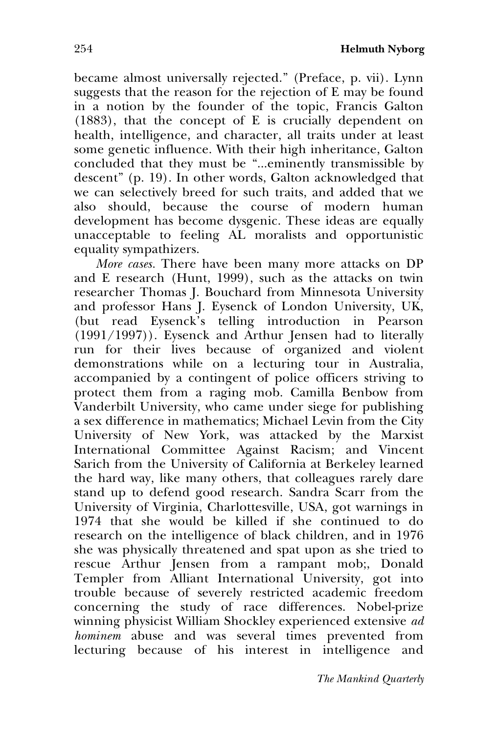became almost universally rejected." (Preface, p. vii). Lynn suggests that the reason for the rejection of E may be found in a notion by the founder of the topic, Francis Galton (1883), that the concept of E is crucially dependent on health, intelligence, and character, all traits under at least some genetic influence. With their high inheritance, Galton concluded that they must be "...eminently transmissible by descent" (p. 19). In other words, Galton acknowledged that we can selectively breed for such traits, and added that we also should, because the course of modern human development has become dysgenic. These ideas are equally unacceptable to feeling AL moralists and opportunistic equality sympathizers.

*More cases.* There have been many more attacks on DP and E research (Hunt, 1999), such as the attacks on twin researcher Thomas J. Bouchard from Minnesota University and professor Hans J. Eysenck of London University, UK, (but read Eysenck's telling introduction in Pearson (1991/1997)). Eysenck and Arthur Jensen had to literally run for their lives because of organized and violent demonstrations while on a lecturing tour in Australia, accompanied by a contingent of police officers striving to protect them from a raging mob. Camilla Benbow from Vanderbilt University, who came under siege for publishing a sex difference in mathematics; Michael Levin from the City University of New York, was attacked by the Marxist International Committee Against Racism; and Vincent Sarich from the University of California at Berkeley learned the hard way, like many others, that colleagues rarely dare stand up to defend good research. Sandra Scarr from the University of Virginia, Charlottesville, USA, got warnings in 1974 that she would be killed if she continued to do research on the intelligence of black children, and in 1976 she was physically threatened and spat upon as she tried to rescue Arthur Jensen from a rampant mob;, Donald Templer from Alliant International University, got into trouble because of severely restricted academic freedom concerning the study of race differences. Nobel-prize winning physicist William Shockley experienced extensive *ad hominem* abuse and was several times prevented from lecturing because of his interest in intelligence and

*The Mankind Quarterly*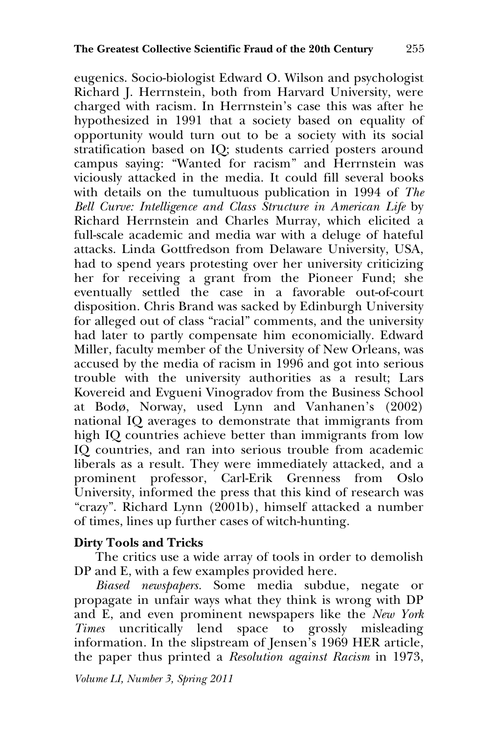eugenics. Socio-biologist Edward O. Wilson and psychologist Richard J. Herrnstein, both from Harvard University, were charged with racism. In Herrnstein's case this was after he hypothesized in 1991 that a society based on equality of opportunity would turn out to be a society with its social stratification based on IQ; students carried posters around campus saying: "Wanted for racism" and Herrnstein was viciously attacked in the media. It could fill several books with details on the tumultuous publication in 1994 of *The Bell Curve: Intelligence and Class Structure in American Life* by Richard Herrnstein and Charles Murray, which elicited a full-scale academic and media war with a deluge of hateful attacks. Linda Gottfredson from Delaware University, USA, had to spend years protesting over her university criticizing her for receiving a grant from the Pioneer Fund; she eventually settled the case in a favorable out-of-court disposition. Chris Brand was sacked by Edinburgh University for alleged out of class "racial" comments, and the university had later to partly compensate him economicially. Edward Miller, faculty member of the University of New Orleans, was accused by the media of racism in 1996 and got into serious trouble with the university authorities as a result; Lars Kovereid and Evgueni Vinogradov from the Business School at Bodø, Norway, used Lynn and Vanhanen's (2002) national IQ averages to demonstrate that immigrants from high IQ countries achieve better than immigrants from low IQ countries, and ran into serious trouble from academic liberals as a result. They were immediately attacked, and a prominent professor, Carl-Erik Grenness from Oslo University, informed the press that this kind of research was "crazy". Richard Lynn (2001b), himself attacked a number of times, lines up further cases of witch-hunting.

## **Dirty Tools and Tricks**

The critics use a wide array of tools in order to demolish DP and E, with a few examples provided here.

*Biased newspapers.* Some media subdue, negate or propagate in unfair ways what they think is wrong with DP and E, and even prominent newspapers like the *New York Times* uncritically lend space to grossly misleading information. In the slipstream of Jensen's 1969 HER article, the paper thus printed a *Resolution against Racism* in 1973,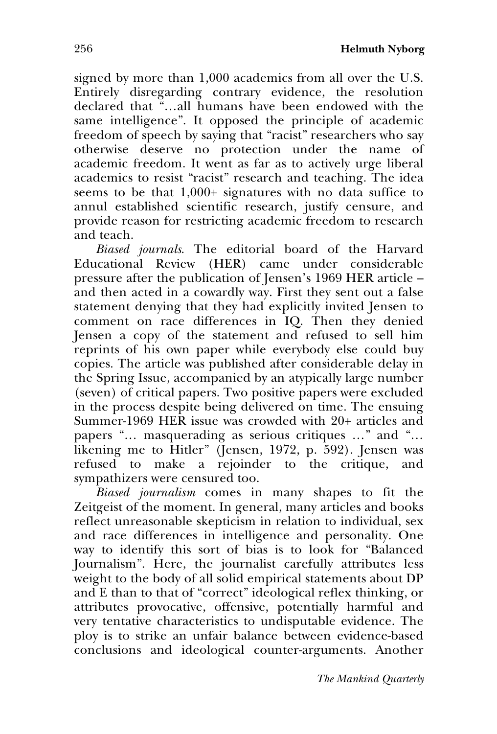signed by more than 1,000 academics from all over the U.S. Entirely disregarding contrary evidence, the resolution declared that "…all humans have been endowed with the same intelligence". It opposed the principle of academic freedom of speech by saying that "racist" researchers who say otherwise deserve no protection under the name of academic freedom. It went as far as to actively urge liberal academics to resist "racist" research and teaching. The idea seems to be that 1,000+ signatures with no data suffice to annul established scientific research, justify censure, and provide reason for restricting academic freedom to research and teach.

*Biased journals*. The editorial board of the Harvard Educational Review (HER) came under considerable pressure after the publication of Jensen's 1969 HER article – and then acted in a cowardly way. First they sent out a false statement denying that they had explicitly invited Jensen to comment on race differences in IQ. Then they denied Jensen a copy of the statement and refused to sell him reprints of his own paper while everybody else could buy copies. The article was published after considerable delay in the Spring Issue, accompanied by an atypically large number (seven) of critical papers. Two positive papers were excluded in the process despite being delivered on time. The ensuing Summer-1969 HER issue was crowded with 20+ articles and papers "… masquerading as serious critiques …" and "… likening me to Hitler" (Jensen, 1972, p. 592). Jensen was refused to make a rejoinder to the critique, and sympathizers were censured too.

*Biased journalism* comes in many shapes to fit the Zeitgeist of the moment. In general, many articles and books reflect unreasonable skepticism in relation to individual, sex and race differences in intelligence and personality. One way to identify this sort of bias is to look for "Balanced Journalism". Here, the journalist carefully attributes less weight to the body of all solid empirical statements about DP and E than to that of "correct" ideological reflex thinking, or attributes provocative, offensive, potentially harmful and very tentative characteristics to undisputable evidence. The ploy is to strike an unfair balance between evidence-based conclusions and ideological counter-arguments. Another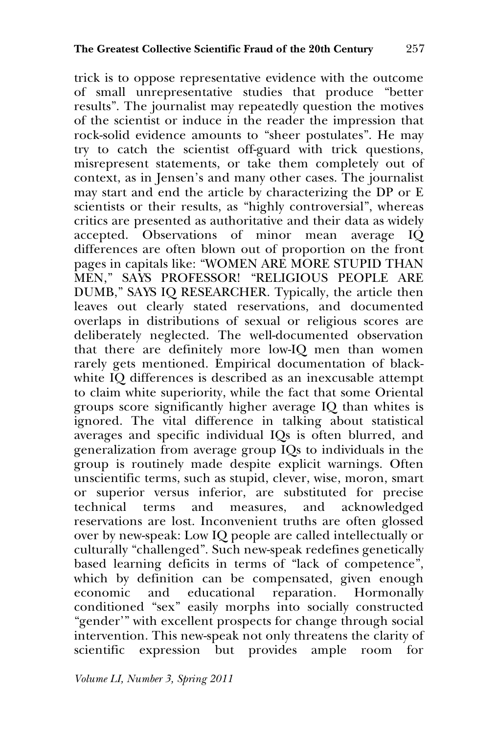trick is to oppose representative evidence with the outcome of small unrepresentative studies that produce "better results". The journalist may repeatedly question the motives of the scientist or induce in the reader the impression that rock-solid evidence amounts to "sheer postulates". He may try to catch the scientist off-guard with trick questions, misrepresent statements, or take them completely out of context, as in Jensen's and many other cases. The journalist may start and end the article by characterizing the DP or E scientists or their results, as "highly controversial", whereas critics are presented as authoritative and their data as widely accepted. Observations of minor mean average IQ differences are often blown out of proportion on the front pages in capitals like: "WOMEN ARE MORE STUPID THAN MEN," SAYS PROFESSOR! "RELIGIOUS PEOPLE ARE DUMB," SAYS IQ RESEARCHER. Typically, the article then leaves out clearly stated reservations, and documented overlaps in distributions of sexual or religious scores are deliberately neglected. The well-documented observation that there are definitely more low-IQ men than women rarely gets mentioned. Empirical documentation of blackwhite IQ differences is described as an inexcusable attempt to claim white superiority, while the fact that some Oriental groups score significantly higher average IQ than whites is ignored. The vital difference in talking about statistical averages and specific individual IQs is often blurred, and generalization from average group IQs to individuals in the group is routinely made despite explicit warnings. Often unscientific terms, such as stupid, clever, wise, moron, smart or superior versus inferior, are substituted for precise technical terms and measures, and acknowledged reservations are lost. Inconvenient truths are often glossed over by new-speak: Low IQ people are called intellectually or culturally "challenged". Such new-speak redefines genetically based learning deficits in terms of "lack of competence", which by definition can be compensated, given enough economic and educational reparation. Hormonally economic and educational reparation. Hormonally conditioned "sex" easily morphs into socially constructed "gender'" with excellent prospects for change through social intervention. This new-speak not only threatens the clarity of scientific expression but provides ample room for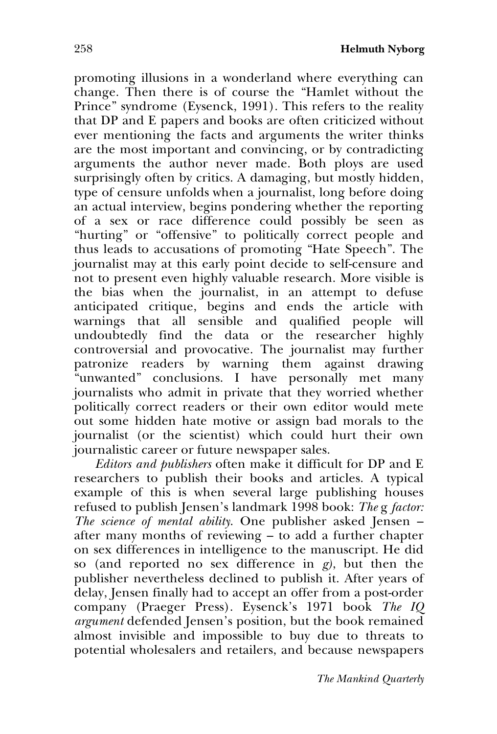promoting illusions in a wonderland where everything can change. Then there is of course the "Hamlet without the Prince" syndrome (Eysenck, 1991). This refers to the reality that DP and E papers and books are often criticized without ever mentioning the facts and arguments the writer thinks are the most important and convincing, or by contradicting arguments the author never made. Both ploys are used surprisingly often by critics. A damaging, but mostly hidden, type of censure unfolds when a journalist, long before doing an actual interview, begins pondering whether the reporting of a sex or race difference could possibly be seen as "hurting" or "offensive" to politically correct people and thus leads to accusations of promoting "Hate Speech". The journalist may at this early point decide to self-censure and not to present even highly valuable research. More visible is the bias when the journalist, in an attempt to defuse anticipated critique, begins and ends the article with warnings that all sensible and qualified people will undoubtedly find the data or the researcher highly controversial and provocative. The journalist may further patronize readers by warning them against drawing "unwanted" conclusions. I have personally met many journalists who admit in private that they worried whether politically correct readers or their own editor would mete out some hidden hate motive or assign bad morals to the journalist (or the scientist) which could hurt their own journalistic career or future newspaper sales.

*Editors and publishers* often make it difficult for DP and E researchers to publish their books and articles. A typical example of this is when several large publishing houses refused to publish Jensen's landmark 1998 book: *The* g *factor: The science of mental ability*. One publisher asked Jensen – after many months of reviewing – to add a further chapter on sex differences in intelligence to the manuscript. He did so (and reported no sex difference in *g)*, but then the publisher nevertheless declined to publish it. After years of delay, Jensen finally had to accept an offer from a post-order company (Praeger Press). Eysenck's 1971 book *The IQ argument* defended Jensen's position, but the book remained almost invisible and impossible to buy due to threats to potential wholesalers and retailers, and because newspapers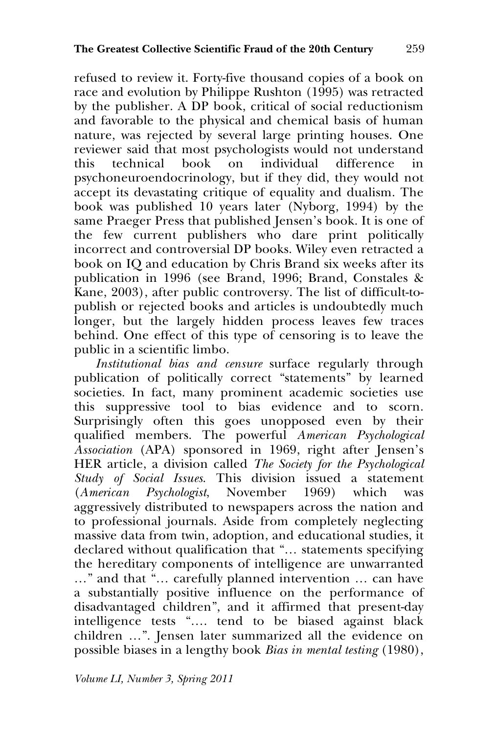refused to review it. Forty-five thousand copies of a book on race and evolution by Philippe Rushton (1995) was retracted by the publisher. A DP book, critical of social reductionism and favorable to the physical and chemical basis of human nature, was rejected by several large printing houses. One reviewer said that most psychologists would not understand this technical book on individual difference in psychoneuroendocrinology, but if they did, they would not accept its devastating critique of equality and dualism. The book was published 10 years later (Nyborg, 1994) by the same Praeger Press that published Jensen's book. It is one of the few current publishers who dare print politically incorrect and controversial DP books. Wiley even retracted a book on IQ and education by Chris Brand six weeks after its publication in 1996 (see Brand, 1996; Brand, Constales & Kane, 2003), after public controversy. The list of difficult-topublish or rejected books and articles is undoubtedly much longer, but the largely hidden process leaves few traces behind. One effect of this type of censoring is to leave the public in a scientific limbo.

*Institutional bias and censure* surface regularly through publication of politically correct "statements" by learned societies. In fact, many prominent academic societies use this suppressive tool to bias evidence and to scorn. Surprisingly often this goes unopposed even by their qualified members. The powerful *American Psychological Association* (APA) sponsored in 1969, right after Jensen's HER article, a division called *The Society for the Psychological Study of Social Issues*. This division issued a statement (*American Psychologist*, November 1969) which was aggressively distributed to newspapers across the nation and to professional journals. Aside from completely neglecting massive data from twin, adoption, and educational studies, it declared without qualification that "… statements specifying the hereditary components of intelligence are unwarranted …" and that "… carefully planned intervention … can have a substantially positive influence on the performance of disadvantaged children", and it affirmed that present-day intelligence tests "…. tend to be biased against black children …". Jensen later summarized all the evidence on possible biases in a lengthy book *Bias in mental testing* (1980),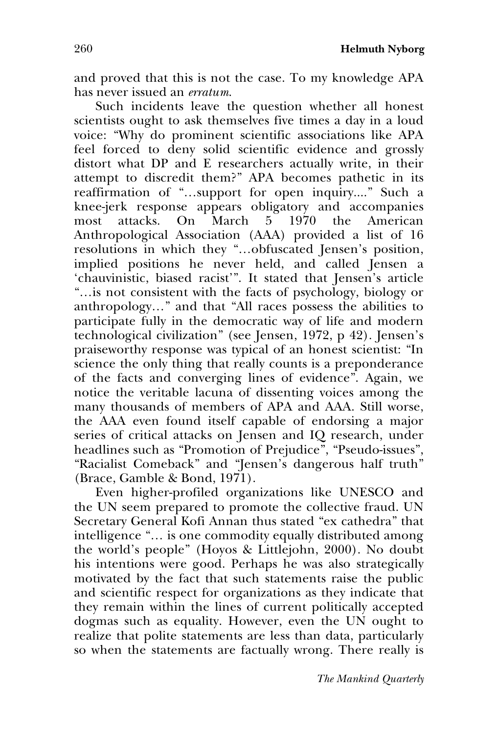and proved that this is not the case. To my knowledge APA has never issued an *erratum*.

Such incidents leave the question whether all honest scientists ought to ask themselves five times a day in a loud voice: "Why do prominent scientific associations like APA feel forced to deny solid scientific evidence and grossly distort what DP and E researchers actually write, in their attempt to discredit them?" APA becomes pathetic in its reaffirmation of "…support for open inquiry...." Such a knee-jerk response appears obligatory and accompanies most attacks. On March 5 1970 the American Anthropological Association (AAA) provided a list of 16 resolutions in which they "…obfuscated Jensen's position, implied positions he never held, and called Jensen a 'chauvinistic, biased racist'". It stated that Jensen's article "…is not consistent with the facts of psychology, biology or anthropology…" and that "All races possess the abilities to participate fully in the democratic way of life and modern technological civilization" (see Jensen, 1972, p 42). Jensen's praiseworthy response was typical of an honest scientist: "In science the only thing that really counts is a preponderance of the facts and converging lines of evidence". Again, we notice the veritable lacuna of dissenting voices among the many thousands of members of APA and AAA. Still worse, the AAA even found itself capable of endorsing a major series of critical attacks on Jensen and IQ research, under headlines such as "Promotion of Prejudice", "Pseudo-issues", "Racialist Comeback" and "Jensen's dangerous half truth" (Brace, Gamble & Bond, 1971).

Even higher-profiled organizations like UNESCO and the UN seem prepared to promote the collective fraud. UN Secretary General Kofi Annan thus stated "ex cathedra" that intelligence "… is one commodity equally distributed among the world's people" (Hoyos & Littlejohn, 2000). No doubt his intentions were good. Perhaps he was also strategically motivated by the fact that such statements raise the public and scientific respect for organizations as they indicate that they remain within the lines of current politically accepted dogmas such as equality. However, even the UN ought to realize that polite statements are less than data, particularly so when the statements are factually wrong. There really is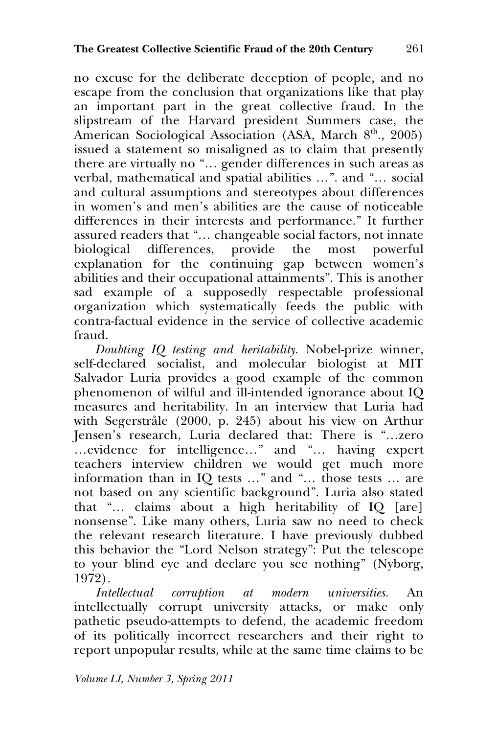no excuse for the deliberate deception of people, and no escape from the conclusion that organizations like that play an important part in the great collective fraud. In the slipstream of the Harvard president Summers case, the American Sociological Association (ASA, March 8<sup>th</sup>., 2005) issued a statement so misaligned as to claim that presently there are virtually no "… gender differences in such areas as verbal, mathematical and spatial abilities …". and "… social and cultural assumptions and stereotypes about differences in women's and men's abilities are the cause of noticeable differences in their interests and performance." It further assured readers that "… changeable social factors, not innate biological differences, provide the most powerful explanation for the continuing gap between women's abilities and their occupational attainments". This is another sad example of a supposedly respectable professional organization which systematically feeds the public with contra-factual evidence in the service of collective academic fraud.

*Doubting IQ testing and heritability*. Nobel-prize winner, self-declared socialist, and molecular biologist at MIT Salvador Luria provides a good example of the common phenomenon of wilful and ill-intended ignorance about IQ measures and heritability. In an interview that Luria had with Segerstråle (2000, p. 245) about his view on Arthur Jensen's research, Luria declared that: There is "…zero …evidence for intelligence…" and "… having expert teachers interview children we would get much more information than in IQ tests …" and "… those tests … are not based on any scientific background". Luria also stated that "… claims about a high heritability of IQ [are] nonsense". Like many others, Luria saw no need to check the relevant research literature. I have previously dubbed this behavior the "Lord Nelson strategy": Put the telescope to your blind eye and declare you see nothing" (Nyborg, 1972).

*Intellectual corruption at modern universities.* An intellectually corrupt university attacks, or make only pathetic pseudo-attempts to defend, the academic freedom of its politically incorrect researchers and their right to report unpopular results, while at the same time claims to be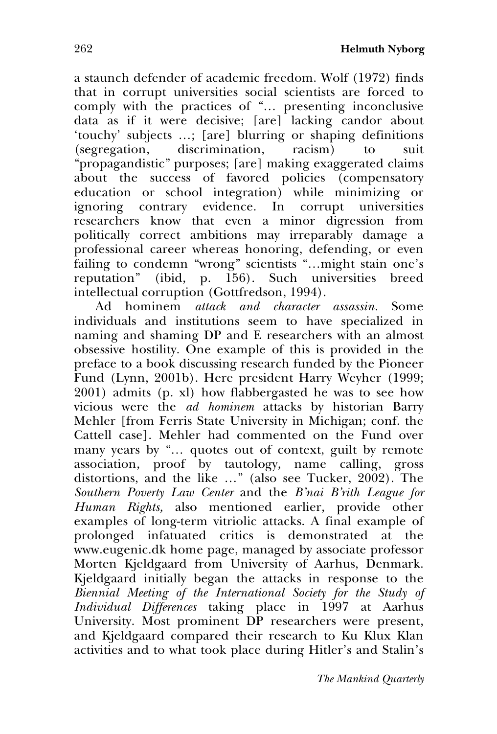a staunch defender of academic freedom. Wolf (1972) finds that in corrupt universities social scientists are forced to comply with the practices of "… presenting inconclusive data as if it were decisive; [are] lacking candor about 'touchy' subjects …; [are] blurring or shaping definitions (segregation, discrimination, racism) to suit "propagandistic" purposes; [are] making exaggerated claims about the success of favored policies (compensatory education or school integration) while minimizing or ignoring contrary evidence. In corrupt universities researchers know that even a minor digression from politically correct ambitions may irreparably damage a professional career whereas honoring, defending, or even failing to condemn "wrong" scientists "…might stain one's reputation" (ibid, p. 156). Such universities breed intellectual corruption (Gottfredson, 1994).

Ad hominem *attack and character assassin.* Some individuals and institutions seem to have specialized in naming and shaming DP and E researchers with an almost obsessive hostility. One example of this is provided in the preface to a book discussing research funded by the Pioneer Fund (Lynn, 2001b). Here president Harry Weyher (1999; 2001) admits (p. xl) how flabbergasted he was to see how vicious were the *ad hominem* attacks by historian Barry Mehler [from Ferris State University in Michigan; conf. the Cattell case]. Mehler had commented on the Fund over many years by "… quotes out of context, guilt by remote association, proof by tautology, name calling, gross distortions, and the like …" (also see Tucker, 2002). The *Southern Poverty Law Center* and the *B'nai B'rith League for Human Rights,* also mentioned earlier, provide other examples of long-term vitriolic attacks. A final example of prolonged infatuated critics is demonstrated at the www.eugenic.dk home page, managed by associate professor Morten Kjeldgaard from University of Aarhus, Denmark. Kjeldgaard initially began the attacks in response to the *Biennial Meeting of the International Society for the Study of Individual Differences* taking place in 1997 at Aarhus University. Most prominent DP researchers were present, and Kjeldgaard compared their research to Ku Klux Klan activities and to what took place during Hitler's and Stalin's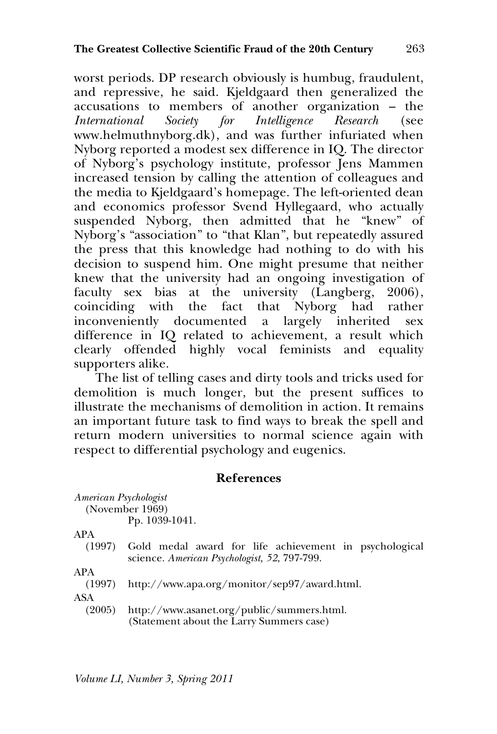worst periods. DP research obviously is humbug, fraudulent, and repressive, he said. Kjeldgaard then generalized the accusations to members of another organization – the International Society for Intelligence Research (see *International Society for Intelligence Research* (see www.helmuthnyborg.dk), and was further infuriated when Nyborg reported a modest sex difference in IQ. The director of Nyborg's psychology institute, professor Jens Mammen increased tension by calling the attention of colleagues and the media to Kjeldgaard's homepage. The left-oriented dean and economics professor Svend Hyllegaard, who actually suspended Nyborg, then admitted that he "knew" of Nyborg's "association" to "that Klan", but repeatedly assured the press that this knowledge had nothing to do with his decision to suspend him. One might presume that neither knew that the university had an ongoing investigation of faculty sex bias at the university (Langberg, 2006), coinciding with the fact that Nyborg had rather inconveniently documented a largely inherited sex difference in IQ related to achievement, a result which clearly offended highly vocal feminists and equality supporters alike.

The list of telling cases and dirty tools and tricks used for demolition is much longer, but the present suffices to illustrate the mechanisms of demolition in action. It remains an important future task to find ways to break the spell and return modern universities to normal science again with respect to differential psychology and eugenics.

## **References**

*American Psychologist* (November 1969) Pp. 1039-1041. APA (1997) Gold medal award for life achievement in psychological science. *American Psychologist, 52*, 797-799. APA

(1997) http://www.apa.org/monitor/sep97/award.html.

ASA

(2005) http://www.asanet.org/public/summers.html. (Statement about the Larry Summers case)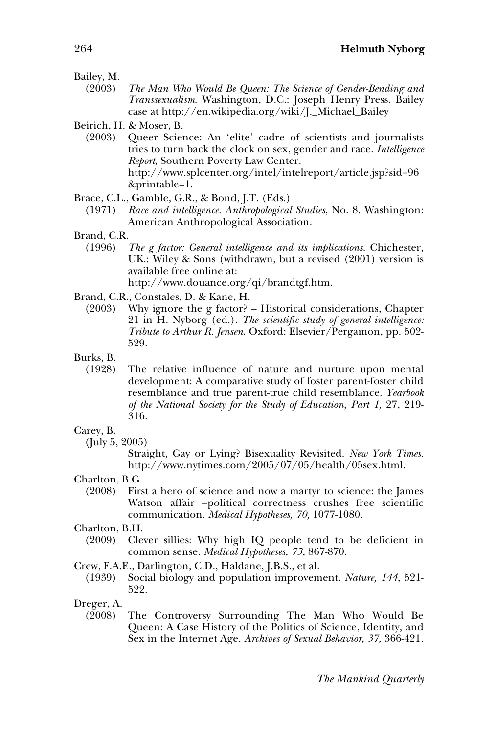#### Bailey, M.

(2003) *The Man Who Would Be Queen: The Science of Gender-Bending and Transsexualism*. Washington, D.C.: Joseph Henry Press. Bailey case at http://en.wikipedia.org/wiki/J.\_Michael\_Bailey

Beirich, H. & Moser, B.

- (2003) Queer Science: An 'elite' cadre of scientists and journalists tries to turn back the clock on sex, gender and race. *Intelligence Report*, Southern Poverty Law Center. http://www.splcenter.org/intel/intelreport/article.jsp?sid=96 &printable=1.
- Brace, C.L., Gamble, G.R., & Bond, J.T. (Eds.)
	- (1971) *Race and intelligence. Anthropological Studies*, No. 8. Washington: American Anthropological Association.
- Brand, C.R.
	- (1996) *The g factor: General intelligence and its implications*. Chichester, UK.: Wiley & Sons (withdrawn, but a revised (2001) version is available free online at:

http://www.douance.org/qi/brandtgf.htm.

Brand, C.R., Constales, D. & Kane, H.

- (2003) Why ignore the g factor? Historical considerations, Chapter 21 in H. Nyborg (ed.). *The scientific study of general intelligence: Tribute to Arthur R. Jensen*. Oxford: Elsevier/Pergamon, pp. 502- 529.
- Burks, B.
	- (1928) The relative influence of nature and nurture upon mental development: A comparative study of foster parent-foster child resemblance and true parent-true child resemblance. *Yearbook of the National Society for the Study of Education, Part 1,* 27, 219- 316.
- Carey, B.
	- (July 5, 2005)

Straight, Gay or Lying? Bisexuality Revisited. *New York Times*. http://www.nytimes.com/2005/07/05/health/05sex.html.

Charlton, B.G.

(2008) First a hero of science and now a martyr to science: the James Watson affair –political correctness crushes free scientific communication. *Medical Hypotheses, 70,* 1077-1080.

## Charlton, B.H.

- (2009) Clever sillies: Why high IQ people tend to be deficient in common sense. *Medical Hypotheses, 73,* 867-870.
- Crew, F.A.E., Darlington, C.D., Haldane, J.B.S., et al.
	- (1939) Social biology and population improvement. *Nature, 144,* 521- 522.

Dreger, A.

(2008) The Controversy Surrounding The Man Who Would Be Queen: A Case History of the Politics of Science, Identity, and Sex in the Internet Age. *Archives of Sexual Behavior*, *37,* 366-421.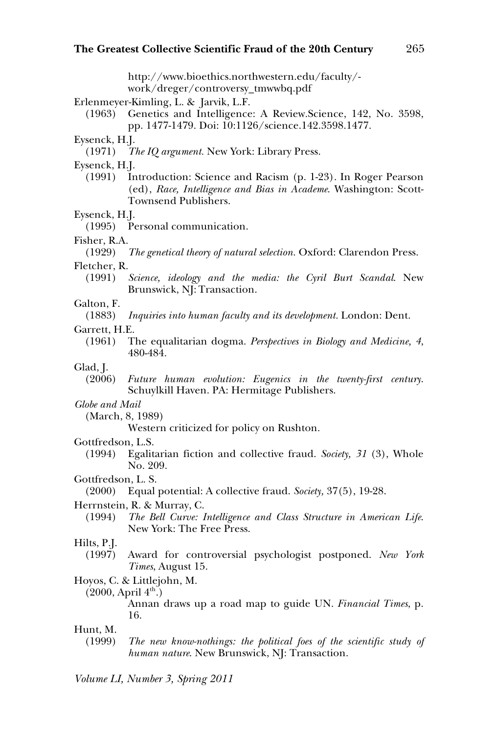|                                | http://www.bioethics.northwestern.edu/faculty/-<br>work/dreger/controversy_tmwwbq.pdf                                                                      |
|--------------------------------|------------------------------------------------------------------------------------------------------------------------------------------------------------|
| (1963)                         | Erlenmeyer-Kimling, L. & Jarvik, L.F.<br>Genetics and Intelligence: A Review.Science, 142, No. 3598,<br>pp. 1477-1479. Doi: 10:1126/science.142.3598.1477. |
| Eysenck, H.J.<br>(1971)        | The IQ argument. New York: Library Press.                                                                                                                  |
| Eysenck, H.J.<br>(1991)        | Introduction: Science and Racism (p. 1-23). In Roger Pearson<br>(ed), Race, Intelligence and Bias in Academe. Washington: Scott-<br>Townsend Publishers.   |
| Eysenck, H.J.<br>(1995)        | Personal communication.                                                                                                                                    |
| Fisher, R.A.<br>(1929)         | <i>The genetical theory of natural selection.</i> Oxford: Clarendon Press.                                                                                 |
| Fletcher, R.<br>(1991)         | Science, ideology and the media: the Cyril Burt Scandal. New<br>Brunswick, NJ: Transaction.                                                                |
| Galton, F.<br>(1883)           | Inquiries into human faculty and its development. London: Dent.                                                                                            |
| Garrett, H.E.<br>(1961)        | The equalitarian dogma. Perspectives in Biology and Medicine, 4,<br>480-484.                                                                               |
| Glad, J.<br>(2006)             | Future human evolution: Eugenics in the twenty-first century.<br>Schuylkill Haven. PA: Hermitage Publishers.                                               |
| Globe and Mail                 | (March, 8, 1989)<br>Western criticized for policy on Rushton.                                                                                              |
| Gottfredson, L.S.              |                                                                                                                                                            |
| (1994)                         | Egalitarian fiction and collective fraud. Society, 31 (3), Whole<br>No. 209.                                                                               |
| Gottfredson, L. S.<br>(2000)   | Equal potential: A collective fraud. Society, 37(5), 19-28.                                                                                                |
| (1994)                         | Herrnstein, R. & Murray, C.<br>The Bell Curve: Intelligence and Class Structure in American Life.<br>New York: The Free Press.                             |
| Hilts, P.J.<br>(1997)          | Award for controversial psychologist postponed. New York<br><i>Times</i> , August 15.                                                                      |
| (2000, April 4 <sup>th</sup> ) | Hoyos, C. & Littlejohn, M.<br>Annan draws up a road map to guide UN. Financial Times, p.<br>16.                                                            |
| Hunt, M.<br>(1999)             | The new know-nothings: the political foes of the scientific study of<br>human nature. New Brunswick, NJ: Transaction.                                      |
|                                |                                                                                                                                                            |

*Volume LI, Number 3, Spring 2011*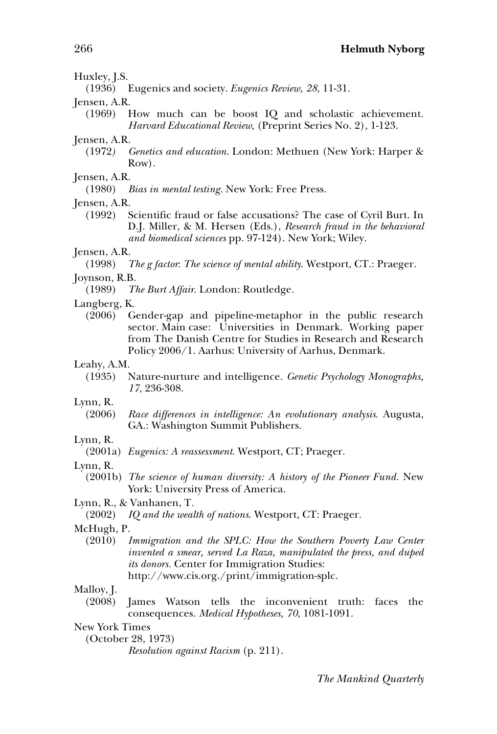| Huxley, J.S.           |                                                                                                                                                                                                                                              |  |
|------------------------|----------------------------------------------------------------------------------------------------------------------------------------------------------------------------------------------------------------------------------------------|--|
| (1936)                 | Eugenics and society. Eugenics Review, 28, 11-31.                                                                                                                                                                                            |  |
| Jensen, A.R.<br>(1969) | How much can be boost IQ and scholastic achievement.<br><i>Harvard Educational Review, (Preprint Series No. 2), 1-123.</i>                                                                                                                   |  |
| Jensen, A.R.<br>(1972) | <i>Genetics and education.</i> London: Methuen (New York: Harper &<br>Row).                                                                                                                                                                  |  |
| Jensen, A.R.           |                                                                                                                                                                                                                                              |  |
| (1980)                 | Bias in mental testing. New York: Free Press.                                                                                                                                                                                                |  |
| Jensen, A.R.<br>(1992) | Scientific fraud or false accusations? The case of Cyril Burt. In<br>D.J. Miller, & M. Hersen (Eds.), Research fraud in the behavioral<br>and biomedical sciences pp. 97-124). New York; Wiley.                                              |  |
| Jensen, A.R.<br>(1998) | The g factor. The science of mental ability. Westport, CT.: Praeger.                                                                                                                                                                         |  |
| Joynson, R.B.          |                                                                                                                                                                                                                                              |  |
| (1989)                 | <i>The Burt Affair.</i> London: Routledge.                                                                                                                                                                                                   |  |
| Langberg, K.           |                                                                                                                                                                                                                                              |  |
| (2006)                 | Gender-gap and pipeline-metaphor in the public research<br>sector. Main case: Universities in Denmark. Working paper<br>from The Danish Centre for Studies in Research and Research<br>Policy 2006/1. Aarhus: University of Aarhus, Denmark. |  |
| Leahy, A.M.            |                                                                                                                                                                                                                                              |  |
| (1935)                 | Nature-nurture and intelligence. Genetic Psychology Monographs,<br>17, 236-308.                                                                                                                                                              |  |
| Lynn, R.<br>(2006)     | Race differences in intelligence: An evolutionary analysis. Augusta,<br>GA.: Washington Summit Publishers.                                                                                                                                   |  |
| Lynn, R.               | (2001a) <i>Eugenics: A reassessment</i> . Westport, CT; Praeger.                                                                                                                                                                             |  |
| Lynn, R.<br>(2001b)    | The science of human diversity: A history of the Pioneer Fund. New<br>York: University Press of America.                                                                                                                                     |  |
| (2002)                 | Lynn, R., & Vanhanen, T.<br>IQ and the wealth of nations. Westport, CT: Praeger.                                                                                                                                                             |  |
| McHugh, P.             |                                                                                                                                                                                                                                              |  |
| (2010)                 | Immigration and the SPLC: How the Southern Poverty Law Center<br>invented a smear, served La Raza, manipulated the press, and duped<br>its donors. Center for Immigration Studies:<br>http://www.cis.org./print/immigration-splc.            |  |
| Malloy, J.             |                                                                                                                                                                                                                                              |  |
| (2008)                 | James Watson tells the inconvenient truth:<br>faces<br>the<br>consequences. Medical Hypotheses, 70, 1081-1091.                                                                                                                               |  |
| <b>New York Times</b>  |                                                                                                                                                                                                                                              |  |
|                        | (October 28, 1973)<br><i>Resolution against Racism</i> (p. 211).                                                                                                                                                                             |  |
|                        |                                                                                                                                                                                                                                              |  |

*The Mankind Quarterly*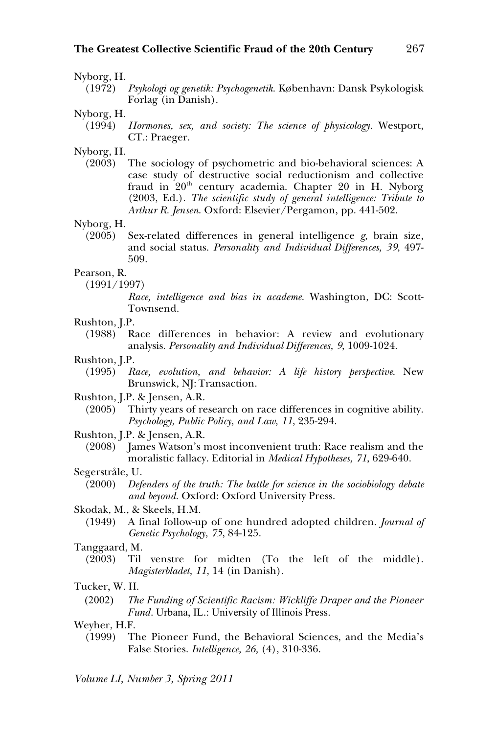## **The Greatest Collective Scientific Fraud of the 20th Century** 267

#### Nyborg, H.

- (1972) *Psykologi og genetik: Psychogenetik*. København: Dansk Psykologisk Forlag (in Danish).
- Nyborg, H.
	- (1994) *Hormones, sex, and society: The science of physicology.* Westport, CT.: Praeger.

Nyborg, H.

(2003) The sociology of psychometric and bio-behavioral sciences: A case study of destructive social reductionism and collective fraud in  $20<sup>th</sup>$  century academia. Chapter 20 in H. Nyborg (2003, Ed.). *The scientific study of general intelligence: Tribute to Arthur R. Jensen*. Oxford: Elsevier/Pergamon, pp. 441-502.

Nyborg, H.

(2005) Sex-related differences in general intelligence *g*, brain size, and social status. *Personality and Individual Differences, 39*, 497- 509.

#### Pearson, R.

(1991/1997)

*Race, intelligence and bias in academe.* Washington, DC: Scott-Townsend.

Rushton, J.P.

- Rushton, J.P.
	- (1995) *Race, evolution, and behavior: A life history perspective*. New Brunswick, NJ: Transaction.
- Rushton, J.P. & Jensen, A.R.
- (2005) Thirty years of research on race differences in cognitive ability. *Psychology, Public Policy, and Law, 11*, 235-294.

Rushton, J.P. & Jensen, A.R.

(2008) James Watson's most inconvenient truth: Race realism and the moralistic fallacy. Editorial in *Medical Hypotheses, 71*, 629-640.

#### Segerstråle, U.

(2000) *Defenders of the truth: The battle for science in the sociobiology debate and beyond*. Oxford: Oxford University Press.

Skodak, M., & Skeels, H.M.

(1949) A final follow-up of one hundred adopted children. *Journal of Genetic Psychology, 75*, 84-125.

#### Tanggaard, M.

(2003) Til venstre for midten (To the left of the middle). *Magisterbladet, 11,* 14 (in Danish).

### Tucker, W. H.

(2002) *The Funding of Scientific Racism: Wickliffe Draper and the Pioneer Fund*. Urbana, IL.: University of Illinois Press.

Weyher, H.F.

(1999) The Pioneer Fund, the Behavioral Sciences, and the Media's False Stories. *Intelligence, 26,* (4), 310-336.

*Volume LI, Number 3, Spring 2011*

<sup>(1988)</sup> Race differences in behavior: A review and evolutionary analysis. *Personality and Individual Differences, 9*, 1009-1024.